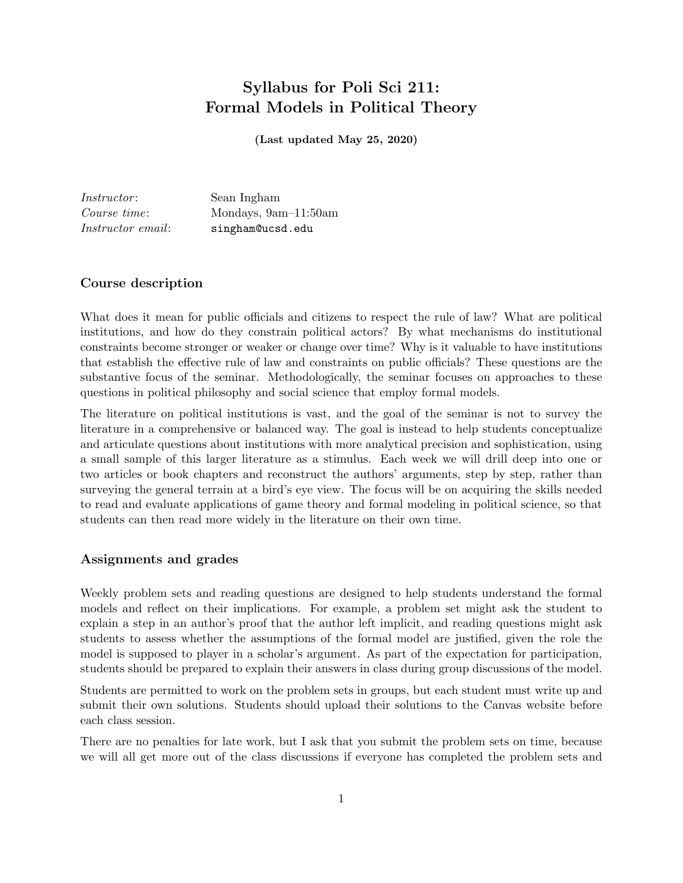# Syllabus for Poli Sci 211: Formal Models in Political Theory

(Last updated May 25, 2020)

Instructor: Sean Ingham Course time: Mondays, 9am–11:50am Instructor email: singham@ucsd.edu

## Course description

What does it mean for public officials and citizens to respect the rule of law? What are political institutions, and how do they constrain political actors? By what mechanisms do institutional constraints become stronger or weaker or change over time? Why is it valuable to have institutions that establish the effective rule of law and constraints on public officials? These questions are the substantive focus of the seminar. Methodologically, the seminar focuses on approaches to these questions in political philosophy and social science that employ formal models.

The literature on political institutions is vast, and the goal of the seminar is not to survey the literature in a comprehensive or balanced way. The goal is instead to help students conceptualize and articulate questions about institutions with more analytical precision and sophistication, using a small sample of this larger literature as a stimulus. Each week we will drill deep into one or two articles or book chapters and reconstruct the authors' arguments, step by step, rather than surveying the general terrain at a bird's eye view. The focus will be on acquiring the skills needed to read and evaluate applications of game theory and formal modeling in political science, so that students can then read more widely in the literature on their own time.

### Assignments and grades

Weekly problem sets and reading questions are designed to help students understand the formal models and reflect on their implications. For example, a problem set might ask the student to explain a step in an author's proof that the author left implicit, and reading questions might ask students to assess whether the assumptions of the formal model are justified, given the role the model is supposed to player in a scholar's argument. As part of the expectation for participation, students should be prepared to explain their answers in class during group discussions of the model.

Students are permitted to work on the problem sets in groups, but each student must write up and submit their own solutions. Students should upload their solutions to the Canvas website before each class session.

There are no penalties for late work, but I ask that you submit the problem sets on time, because we will all get more out of the class discussions if everyone has completed the problem sets and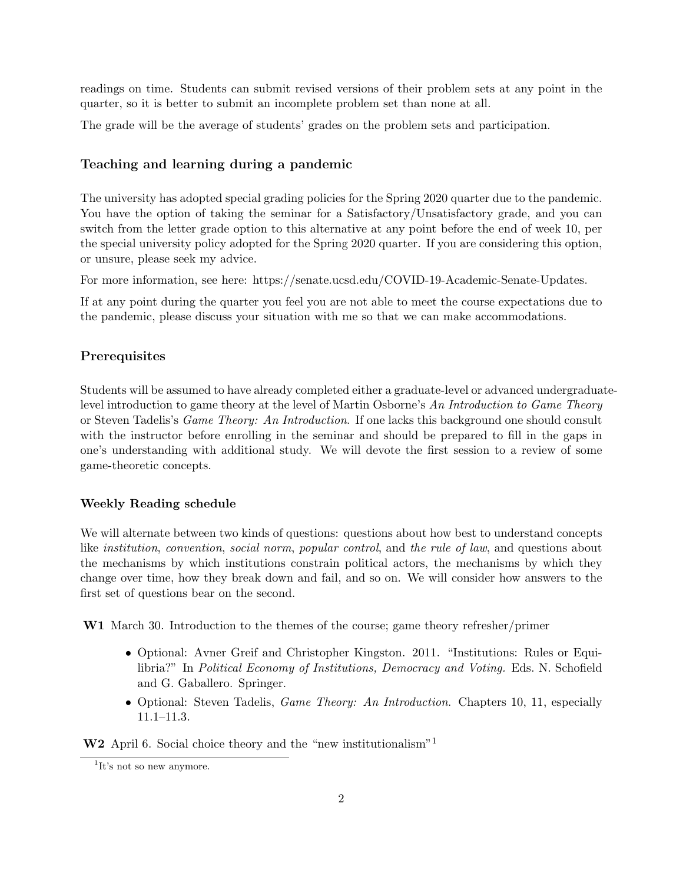readings on time. Students can submit revised versions of their problem sets at any point in the quarter, so it is better to submit an incomplete problem set than none at all.

The grade will be the average of students' grades on the problem sets and participation.

### Teaching and learning during a pandemic

The university has adopted special grading policies for the Spring 2020 quarter due to the pandemic. You have the option of taking the seminar for a Satisfactory/Unsatisfactory grade, and you can switch from the letter grade option to this alternative at any point before the end of week 10, per the special university policy adopted for the Spring 2020 quarter. If you are considering this option, or unsure, please seek my advice.

For more information, see here: https://senate.ucsd.edu/COVID-19-Academic-Senate-Updates.

If at any point during the quarter you feel you are not able to meet the course expectations due to the pandemic, please discuss your situation with me so that we can make accommodations.

#### **Prerequisites**

Students will be assumed to have already completed either a graduate-level or advanced undergraduatelevel introduction to game theory at the level of Martin Osborne's An Introduction to Game Theory or Steven Tadelis's Game Theory: An Introduction. If one lacks this background one should consult with the instructor before enrolling in the seminar and should be prepared to fill in the gaps in one's understanding with additional study. We will devote the first session to a review of some game-theoretic concepts.

#### Weekly Reading schedule

We will alternate between two kinds of questions: questions about how best to understand concepts like institution, convention, social norm, popular control, and the rule of law, and questions about the mechanisms by which institutions constrain political actors, the mechanisms by which they change over time, how they break down and fail, and so on. We will consider how answers to the first set of questions bear on the second.

W1 March 30. Introduction to the themes of the course; game theory refresher/primer

- Optional: Avner Greif and Christopher Kingston. 2011. "Institutions: Rules or Equilibria?" In Political Economy of Institutions, Democracy and Voting. Eds. N. Schofield and G. Gaballero. Springer.
- Optional: Steven Tadelis, *Game Theory: An Introduction*. Chapters 10, 11, especially 11.1–11.3.

W<sub>2</sub> April 6. Social choice theory and the "new institutionalism"<sup>1</sup>

<sup>&</sup>lt;sup>1</sup>It's not so new anymore.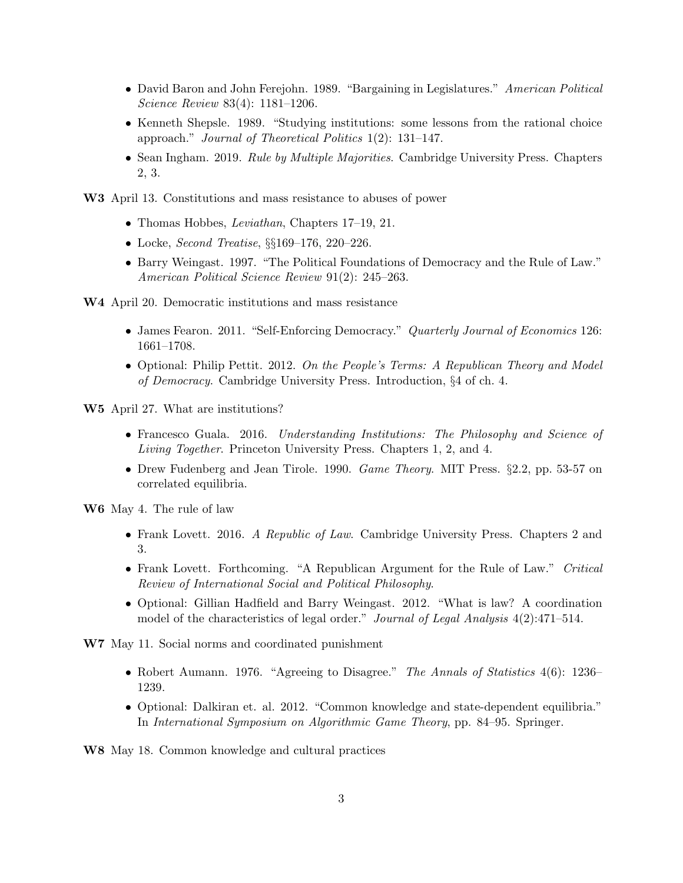- David Baron and John Ferejohn. 1989. "Bargaining in Legislatures." American Political Science Review 83(4): 1181–1206.
- Kenneth Shepsle. 1989. "Studying institutions: some lessons from the rational choice approach." Journal of Theoretical Politics 1(2): 131–147.
- Sean Ingham. 2019. Rule by Multiple Majorities. Cambridge University Press. Chapters 2, 3.

W3 April 13. Constitutions and mass resistance to abuses of power

- Thomas Hobbes, *Leviathan*, Chapters 17–19, 21.
- Locke, *Second Treatise*, §§169–176, 220–226.
- Barry Weingast. 1997. "The Political Foundations of Democracy and the Rule of Law." American Political Science Review 91(2): 245–263.
- W4 April 20. Democratic institutions and mass resistance
	- James Fearon. 2011. "Self-Enforcing Democracy." Quarterly Journal of Economics 126: 1661–1708.
	- Optional: Philip Pettit. 2012. On the People's Terms: A Republican Theory and Model of Democracy. Cambridge University Press. Introduction, §4 of ch. 4.

W5 April 27. What are institutions?

- Francesco Guala. 2016. Understanding Institutions: The Philosophy and Science of Living Together. Princeton University Press. Chapters 1, 2, and 4.
- Drew Fudenberg and Jean Tirole. 1990. Game Theory. MIT Press. §2.2, pp. 53-57 on correlated equilibria.

W6 May 4. The rule of law

- Frank Lovett. 2016. A Republic of Law. Cambridge University Press. Chapters 2 and 3.
- Frank Lovett. Forthcoming. "A Republican Argument for the Rule of Law." Critical Review of International Social and Political Philosophy.
- Optional: Gillian Hadfield and Barry Weingast. 2012. "What is law? A coordination model of the characteristics of legal order." Journal of Legal Analysis 4(2):471-514.

W7 May 11. Social norms and coordinated punishment

- Robert Aumann. 1976. "Agreeing to Disagree." The Annals of Statistics 4(6): 1236– 1239.
- Optional: Dalkiran et. al. 2012. "Common knowledge and state-dependent equilibria." In International Symposium on Algorithmic Game Theory, pp. 84–95. Springer.

W8 May 18. Common knowledge and cultural practices